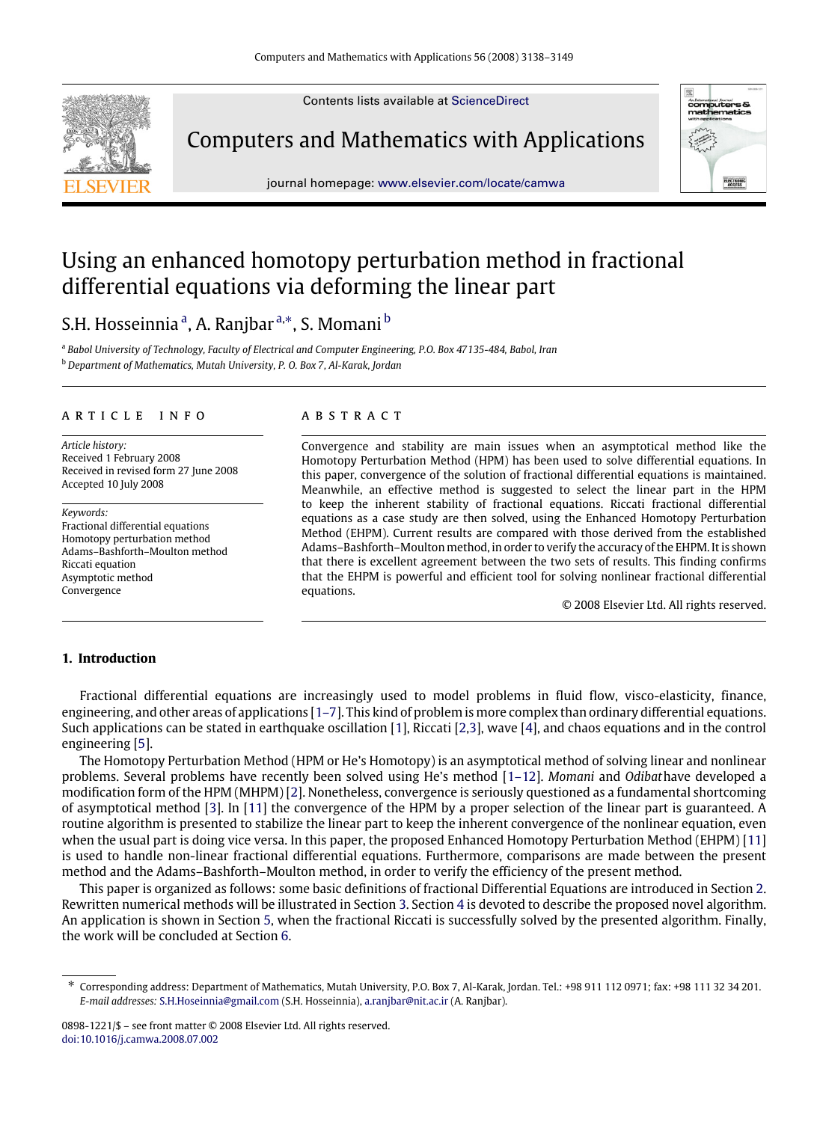Contents lists available at [ScienceDirect](http://www.elsevier.com/locate/camwa)



Computers and Mathematics with Applications



# Using an enhanced homotopy perturbation method in fractional differential equations via deforming the linear part

## S.H. Hosseinni[a](#page-0-0)ª, A. Ranj[b](#page-0-2)arª,\*, S. Momani  $^{\rm b}$

<span id="page-0-2"></span><span id="page-0-0"></span><sup>a</sup> *Babol University of Technology, Faculty of Electrical and Computer Engineering, P.O. Box 47135-484, Babol, Iran* <sup>b</sup> *Department of Mathematics, Mutah University, P. O. Box 7, Al-Karak, Jordan*

## a r t i c l e i n f o

*Article history:* Received 1 February 2008 Received in revised form 27 June 2008 Accepted 10 July 2008

*Keywords:* Fractional differential equations Homotopy perturbation method Adams–Bashforth–Moulton method Riccati equation Asymptotic method Convergence

## a b s t r a c t

Convergence and stability are main issues when an asymptotical method like the Homotopy Perturbation Method (HPM) has been used to solve differential equations. In this paper, convergence of the solution of fractional differential equations is maintained. Meanwhile, an effective method is suggested to select the linear part in the HPM to keep the inherent stability of fractional equations. Riccati fractional differential equations as a case study are then solved, using the Enhanced Homotopy Perturbation Method (EHPM). Current results are compared with those derived from the established Adams–Bashforth–Moulton method, in order to verify the accuracy of the EHPM. It is shown that there is excellent agreement between the two sets of results. This finding confirms that the EHPM is powerful and efficient tool for solving nonlinear fractional differential equations.

© 2008 Elsevier Ltd. All rights reserved.

## **1. Introduction**

Fractional differential equations are increasingly used to model problems in fluid flow, visco-elasticity, finance, engineering, and other areas of applications [\[1–7\]](#page-10-0). This kind of problem is more complex than ordinary differential equations. Such applications can be stated in earthquake oscillation [\[1\]](#page-10-0), Riccati [\[2,](#page-10-1)[3\]](#page-10-2), wave [\[4\]](#page-10-3), and chaos equations and in the control engineering [\[5\]](#page-10-4).

The Homotopy Perturbation Method (HPM or He's Homotopy) is an asymptotical method of solving linear and nonlinear problems. Several problems have recently been solved using He's method [\[1–12\]](#page-10-0). *Momani* and *Odibat*have developed a modification form of the HPM (MHPM) [\[2\]](#page-10-1). Nonetheless, convergence is seriously questioned as a fundamental shortcoming of asymptotical method [\[3\]](#page-10-2). In [\[11\]](#page-11-0) the convergence of the HPM by a proper selection of the linear part is guaranteed. A routine algorithm is presented to stabilize the linear part to keep the inherent convergence of the nonlinear equation, even when the usual part is doing vice versa. In this paper, the proposed Enhanced Homotopy Perturbation Method (EHPM) [\[11\]](#page-11-0) is used to handle non-linear fractional differential equations. Furthermore, comparisons are made between the present method and the Adams–Bashforth–Moulton method, in order to verify the efficiency of the present method.

This paper is organized as follows: some basic definitions of fractional Differential Equations are introduced in Section [2.](#page-1-0) Rewritten numerical methods will be illustrated in Section [3.](#page-1-1) Section [4](#page-2-0) is devoted to describe the proposed novel algorithm. An application is shown in Section [5,](#page-3-0) when the fractional Riccati is successfully solved by the presented algorithm. Finally, the work will be concluded at Section [6.](#page-9-0)

<span id="page-0-1"></span><sup>∗</sup> Corresponding address: Department of Mathematics, Mutah University, P.O. Box 7, Al-Karak, Jordan. Tel.: +98 911 112 0971; fax: +98 111 32 34 201. *E-mail addresses:* [S.H.Hoseinnia@gmail.com](mailto:S.H.Hoseinnia@gmail.com) (S.H. Hosseinnia), [a.ranjbar@nit.ac.ir](mailto:a.ranjbar@nit.ac.ir) (A. Ranjbar).

<sup>0898-1221/\$ –</sup> see front matter © 2008 Elsevier Ltd. All rights reserved. [doi:10.1016/j.camwa.2008.07.002](http://dx.doi.org/10.1016/j.camwa.2008.07.002)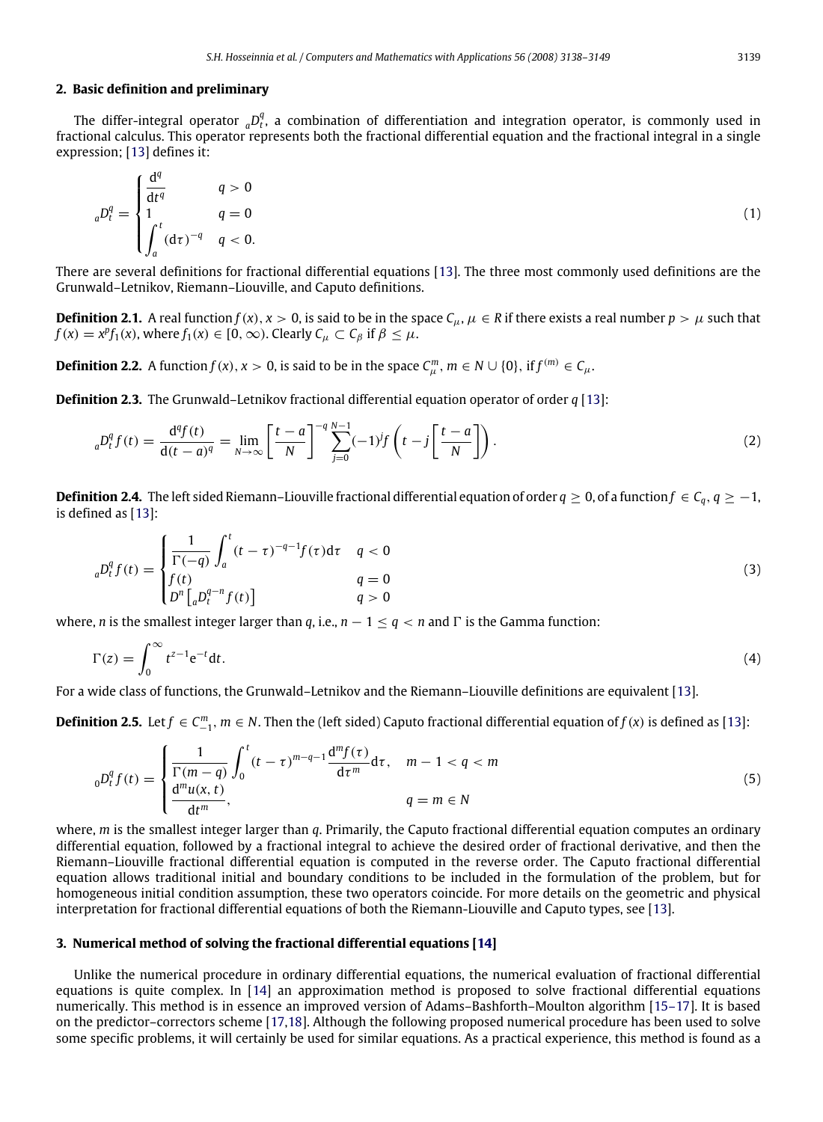#### <span id="page-1-0"></span>**2. Basic definition and preliminary**

The differ-integral operator  ${}_{a}D_{t}^{q}$ , a combination of differentiation and integration operator, is commonly used in fractional calculus. This operator represents both the fractional differential equation and the fractional integral in a single expression; [\[13\]](#page-11-1) defines it:

$$
{}_{a}D_{t}^{q} = \begin{cases} \frac{d^{q}}{dt^{q}} & q > 0\\ 1 & q = 0\\ \int_{a}^{t} (d\tau)^{-q} & q < 0. \end{cases}
$$
 (1)

There are several definitions for fractional differential equations [\[13\]](#page-11-1). The three most commonly used definitions are the Grunwald–Letnikov, Riemann–Liouville, and Caputo definitions.

**Definition 2.1.** A real function  $f(x)$ ,  $x > 0$ , is said to be in the space  $C_\mu$ ,  $\mu \in R$  if there exists a real number  $p > \mu$  such that  $f(x) = x^p f_1(x)$ , where  $f_1(x) \in [0, \infty)$ . Clearly  $C_\mu \subset C_\beta$  if  $\beta \leq \mu$ .

**Definition 2.2.** A function  $f(x)$ ,  $x > 0$ , is said to be in the space  $C_{\mu}^{m}$ ,  $m \in N \cup \{0\}$ , if  $f^{(m)} \in C_{\mu}$ .

**Definition 2.3.** The Grunwald–Letnikov fractional differential equation operator of order *q* [\[13\]](#page-11-1):

$$
{}_{a}D_{t}^{q}f(t) = \frac{\mathrm{d}^{q}f(t)}{\mathrm{d}(t-a)^{q}} = \lim_{N \to \infty} \left[ \frac{t-a}{N} \right]^{-q} \sum_{j=0}^{N-1} (-1)^{j}f\left(t-j\left[\frac{t-a}{N}\right]\right). \tag{2}
$$

**Definition 2.4.** The left sided Riemann–Liouville fractional differential equation of order  $q \ge 0$ , of a function  $f \in C_q$ ,  $q \ge -1$ , is defined as [\[13\]](#page-11-1):

$$
{}_{a}D_{t}^{q}f(t) = \begin{cases} \frac{1}{\Gamma(-q)} \int_{a}^{t} (t-\tau)^{-q-1} f(\tau) d\tau & q < 0\\ f(t) & q = 0\\ D^{n}[{}_{a}D_{t}^{q-n} f(t)] & q > 0 \end{cases}
$$
(3)

where, *n* is the smallest integer larger than *q*, i.e.,  $n - 1 \le q < n$  and  $\Gamma$  is the Gamma function:

$$
\Gamma(z) = \int_0^\infty t^{z-1} e^{-t} dt.
$$
\n(4)

For a wide class of functions, the Grunwald–Letnikov and the Riemann–Liouville definitions are equivalent [\[13\]](#page-11-1).

**Definition 2.5.** Let *f* ∈  $C_{-1}^m$ ,  $m \in N$ . Then the (left sided) Caputo fractional differential equation of *f*(*x*) is defined as [\[13\]](#page-11-1):

$$
{}_{0}D_{t}^{q}f(t) = \begin{cases} \frac{1}{\Gamma(m-q)} \int_{0}^{t} (t-\tau)^{m-q-1} \frac{d^{m}f(\tau)}{d\tau^{m}} d\tau, & m-1 < q < m\\ \frac{d^{m}u(x,t)}{dt^{m}}, & q=m \in N \end{cases}
$$
\n
$$
(5)
$$

where, *m* is the smallest integer larger than *q*. Primarily, the Caputo fractional differential equation computes an ordinary differential equation, followed by a fractional integral to achieve the desired order of fractional derivative, and then the Riemann–Liouville fractional differential equation is computed in the reverse order. The Caputo fractional differential equation allows traditional initial and boundary conditions to be included in the formulation of the problem, but for homogeneous initial condition assumption, these two operators coincide. For more details on the geometric and physical interpretation for fractional differential equations of both the Riemann-Liouville and Caputo types, see [\[13\]](#page-11-1).

## <span id="page-1-1"></span>**3. Numerical method of solving the fractional differential equations [\[14\]](#page-11-2)**

Unlike the numerical procedure in ordinary differential equations, the numerical evaluation of fractional differential equations is quite complex. In [\[14\]](#page-11-2) an approximation method is proposed to solve fractional differential equations numerically. This method is in essence an improved version of Adams–Bashforth–Moulton algorithm [\[15–17\]](#page-11-3). It is based on the predictor–correctors scheme [\[17](#page-11-4)[,18\]](#page-11-5). Although the following proposed numerical procedure has been used to solve some specific problems, it will certainly be used for similar equations. As a practical experience, this method is found as a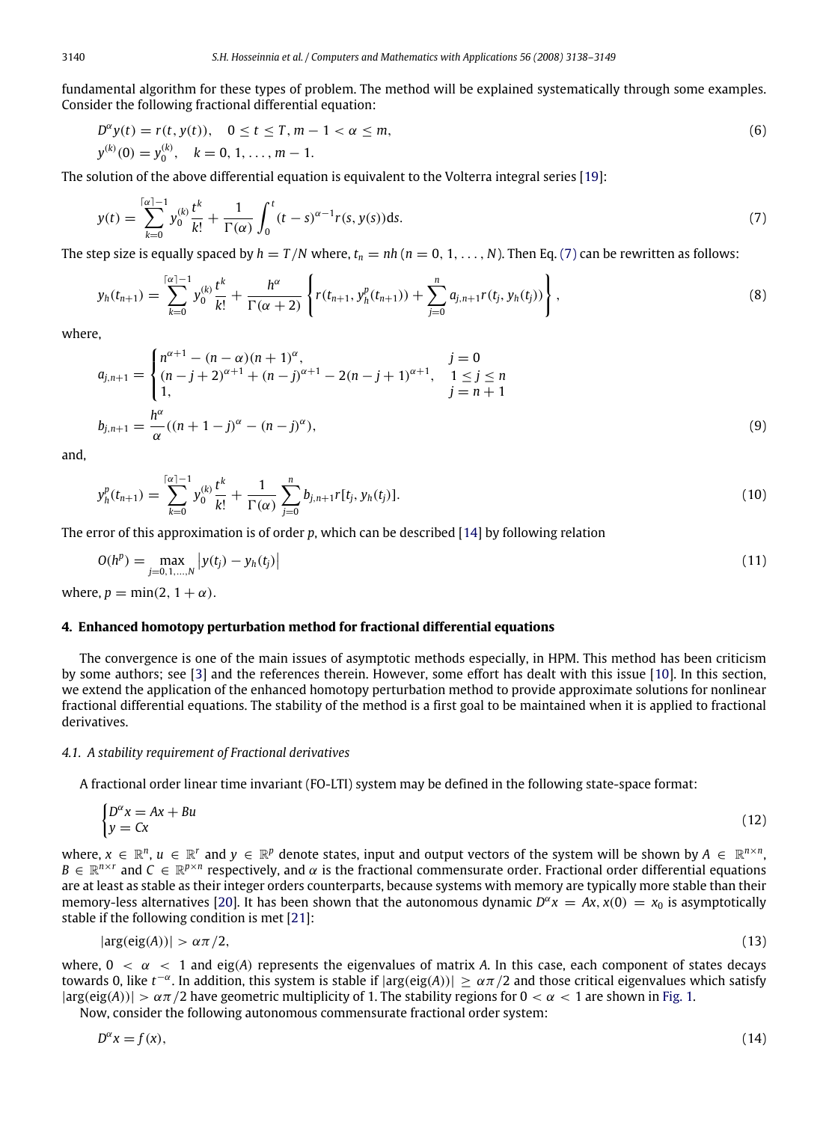fundamental algorithm for these types of problem. The method will be explained systematically through some examples. Consider the following fractional differential equation:

$$
D^{\alpha}y(t) = r(t, y(t)), \quad 0 \le t \le T, m - 1 < \alpha \le m,
$$
  
\n
$$
y^{(k)}(0) = y_0^{(k)}, \quad k = 0, 1, ..., m - 1.
$$
\n(6)

The solution of the above differential equation is equivalent to the Volterra integral series [\[19\]](#page-11-6):

<span id="page-2-1"></span>
$$
y(t) = \sum_{k=0}^{\lceil \alpha \rceil - 1} y_0^{(k)} \frac{t^k}{k!} + \frac{1}{\Gamma(\alpha)} \int_0^t (t - s)^{\alpha - 1} r(s, y(s)) ds.
$$
 (7)

The step size is equally spaced by  $h = T/N$  where,  $t_n = nh$  ( $n = 0, 1, ..., N$ ). Then Eq. [\(7\)](#page-2-1) can be rewritten as follows:

<span id="page-2-3"></span>
$$
y_h(t_{n+1}) = \sum_{k=0}^{\lceil \alpha \rceil-1} y_0^{(k)} \frac{t^k}{k!} + \frac{h^{\alpha}}{\Gamma(\alpha+2)} \left\{ r(t_{n+1}, y_h^p(t_{n+1})) + \sum_{j=0}^n a_{j,n+1} r(t_j, y_h(t_j)) \right\},\tag{8}
$$

where,

$$
a_{j,n+1} = \begin{cases} n^{\alpha+1} - (n-\alpha)(n+1)^{\alpha}, & j=0\\ (n-j+2)^{\alpha+1} + (n-j)^{\alpha+1} - 2(n-j+1)^{\alpha+1}, & 1 \le j \le n\\ 1, & j=n+1 \end{cases}
$$
  

$$
b_{j,n+1} = \frac{h^{\alpha}}{\alpha}((n+1-j)^{\alpha} - (n-j)^{\alpha}),
$$
 (9)

and,

$$
y_h^p(t_{n+1}) = \sum_{k=0}^{\lceil \alpha \rceil - 1} y_0^{(k)} \frac{t^k}{k!} + \frac{1}{\Gamma(\alpha)} \sum_{j=0}^n b_{j,n+1} r[t_j, y_h(t_j)]. \tag{10}
$$

The error of this approximation is of order *p*, which can be described [\[14\]](#page-11-2) by following relation

$$
O(h^{p}) = \max_{j=0,1,...,N} |y(t_{j}) - y_{h}(t_{j})|
$$
\n(11)

where,  $p = min(2, 1 + \alpha)$ .

#### <span id="page-2-0"></span>**4. Enhanced homotopy perturbation method for fractional differential equations**

The convergence is one of the main issues of asymptotic methods especially, in HPM. This method has been criticism by some authors; see [\[3\]](#page-10-2) and the references therein. However, some effort has dealt with this issue [\[10\]](#page-11-7). In this section, we extend the application of the enhanced homotopy perturbation method to provide approximate solutions for nonlinear fractional differential equations. The stability of the method is a first goal to be maintained when it is applied to fractional derivatives.

## *4.1. A stability requirement of Fractional derivatives*

A fractional order linear time invariant (FO-LTI) system may be defined in the following state-space format:

$$
\begin{cases} D^{\alpha}x = Ax + Bu \\ y = Cx \end{cases} \tag{12}
$$

where,  $x \in \mathbb{R}^n$ ,  $u \in \mathbb{R}^r$  and  $y \in \mathbb{R}^p$  denote states, input and output vectors of the system will be shown by  $A \in \mathbb{R}^{n \times n}$ ,  $B \in \mathbb{R}^{n \times r}$  and  $C \in \mathbb{R}^{p \times n}$  respectively, and  $\alpha$  is the fractional commensurate order. Fractional order differential equations are at least as stable as their integer orders counterparts, because systems with memory are typically more stable than their memory-less alternatives [\[20\]](#page-11-8). It has been shown that the autonomous dynamic  $D^{\alpha}x = Ax$ ,  $x(0) = x_0$  is asymptotically stable if the following condition is met [\[21\]](#page-11-9):

<span id="page-2-2"></span>
$$
|\arg(\text{eig}(A))| > \alpha \pi / 2, \tag{13}
$$

where,  $0 < \alpha < 1$  and eig(A) represents the eigenvalues of matrix A. In this case, each component of states decays towards 0, like  $t^{-\alpha}$ . In addition, this system is stable if  $|\arg(eig(A))| \ge \alpha \pi/2$  and those critical eigenvalues which satisfy  $|\arg(\text{eig}(A))| > \alpha \pi/2$  have geometric multiplicity of 1. The stability regions for  $0 < \alpha < 1$  are shown in [Fig. 1.](#page-3-1)

Now, consider the following autonomous commensurate fractional order system:

$$
D^{\alpha}x = f(x),\tag{14}
$$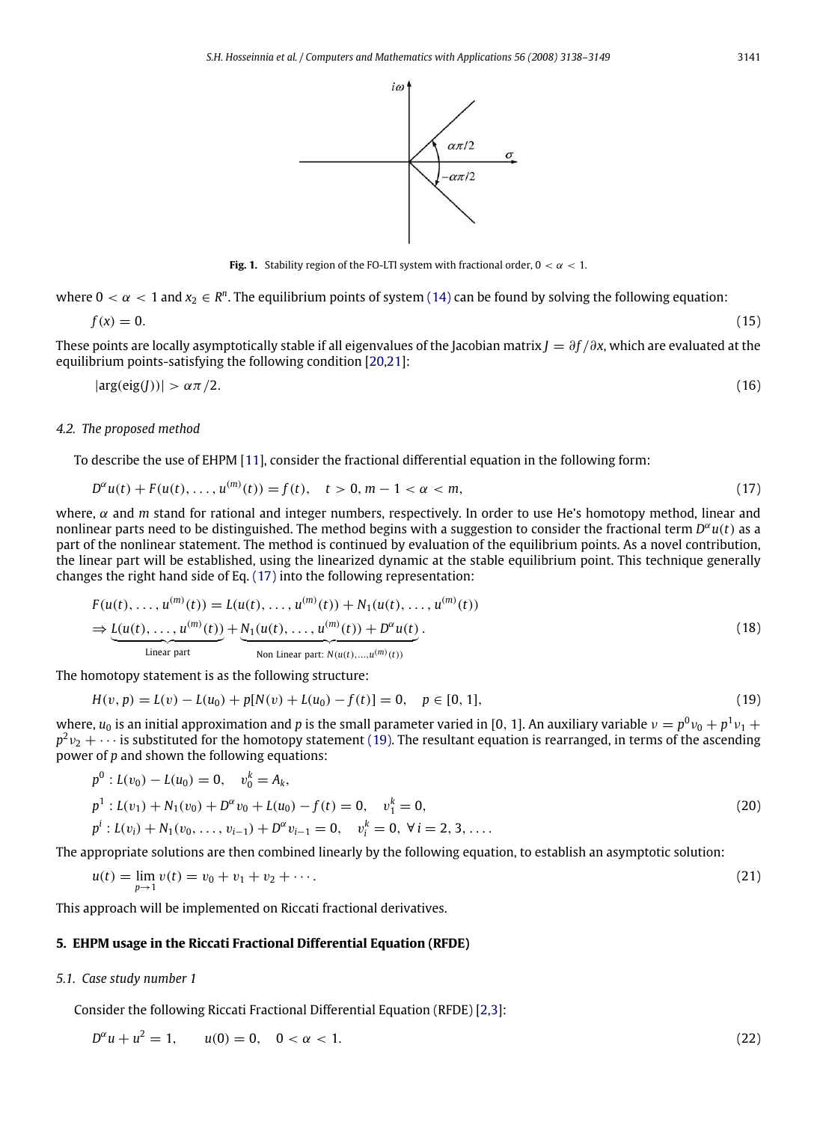<span id="page-3-2"></span>**Fig. 1.** Stability region of the FO-LTI system with fractional order,  $0 < \alpha < 1$ .

where  $0 < \alpha < 1$  and  $x_2 \in \mathbb{R}^n$ . The equilibrium points of system [\(14\)](#page-2-2) can be found by solving the following equation:

$$
f(x) = 0.\tag{15}
$$

These points are locally asymptotically stable if all eigenvalues of the Jacobian matrix *<sup>J</sup>* = ∂*<sup>f</sup>* /∂*x*, which are evaluated at the equilibrium points-satisfying the following condition [\[20](#page-11-8)[,21\]](#page-11-9):

$$
|\arg(\text{eig}(J))| > \alpha \pi / 2. \tag{16}
$$

#### *4.2. The proposed method*

To describe the use of EHPM [\[11\]](#page-11-0), consider the fractional differential equation in the following form:

$$
D^{\alpha}u(t) + F(u(t),...,u^{(m)}(t)) = f(t), \quad t > 0, m - 1 < \alpha < m,
$$
\n(17)

where, α and *m* stand for rational and integer numbers, respectively. In order to use He's homotopy method, linear and nonlinear parts need to be distinguished. The method begins with a suggestion to consider the fractional term *D* <sup>α</sup>*u*(*t*) as a part of the nonlinear statement. The method is continued by evaluation of the equilibrium points. As a novel contribution, the linear part will be established, using the linearized dynamic at the stable equilibrium point. This technique generally changes the right hand side of Eq. [\(17\)](#page-3-2) into the following representation:

$$
F(u(t),...,u^{(m)}(t)) = L(u(t),...,u^{(m)}(t)) + N_1(u(t),...,u^{(m)}(t))
$$
  
\n
$$
\Rightarrow \underbrace{L(u(t),...,u^{(m)}(t))}_{\text{Linear part}} + \underbrace{N_1(u(t),...,u^{(m)}(t)) + D^{\alpha}u(t)}_{\text{Non Linear part: } N(u(t),...,u^{(m)}(t))}.
$$
\n(18)

The homotopy statement is as the following structure:

<span id="page-3-3"></span>
$$
H(v, p) = L(v) - L(u_0) + p[N(v) + L(u_0) - f(t)] = 0, \quad p \in [0, 1],
$$
\n(19)

where,  $u_0$  is an initial approximation and *p* is the small parameter varied in [0, 1]. An auxiliary variable  $v = p^0 v_0 + p^1 v_1 + p^2 v_2$  $p^2v_2 + \cdots$  is substituted for the homotopy statement [\(19\).](#page-3-3) The resultant equation is rearranged, in terms of the ascending power of *p* and shown the following equations:

$$
p^{0}: L(v_{0}) - L(u_{0}) = 0, v_{0}^{k} = A_{k},
$$
  
\n
$$
p^{1}: L(v_{1}) + N_{1}(v_{0}) + D^{\alpha}v_{0} + L(u_{0}) - f(t) = 0, v_{1}^{k} = 0,
$$
  
\n
$$
p^{i}: L(v_{i}) + N_{1}(v_{0}, ..., v_{i-1}) + D^{\alpha}v_{i-1} = 0, v_{i}^{k} = 0, \forall i = 2, 3, ....
$$
\n(20)

The appropriate solutions are then combined linearly by the following equation, to establish an asymptotic solution:

$$
u(t) = \lim_{p \to 1} v(t) = v_0 + v_1 + v_2 + \cdots
$$
\n(21)

This approach will be implemented on Riccati fractional derivatives.

## <span id="page-3-0"></span>**5. EHPM usage in the Riccati Fractional Differential Equation (RFDE)**

## <span id="page-3-4"></span>*5.1. Case study number 1*

Consider the following Riccati Fractional Differential Equation (RFDE) [\[2,](#page-10-1)[3\]](#page-10-2):

$$
D^{\alpha}u + u^2 = 1, \qquad u(0) = 0, \quad 0 < \alpha < 1. \tag{22}
$$

<span id="page-3-1"></span>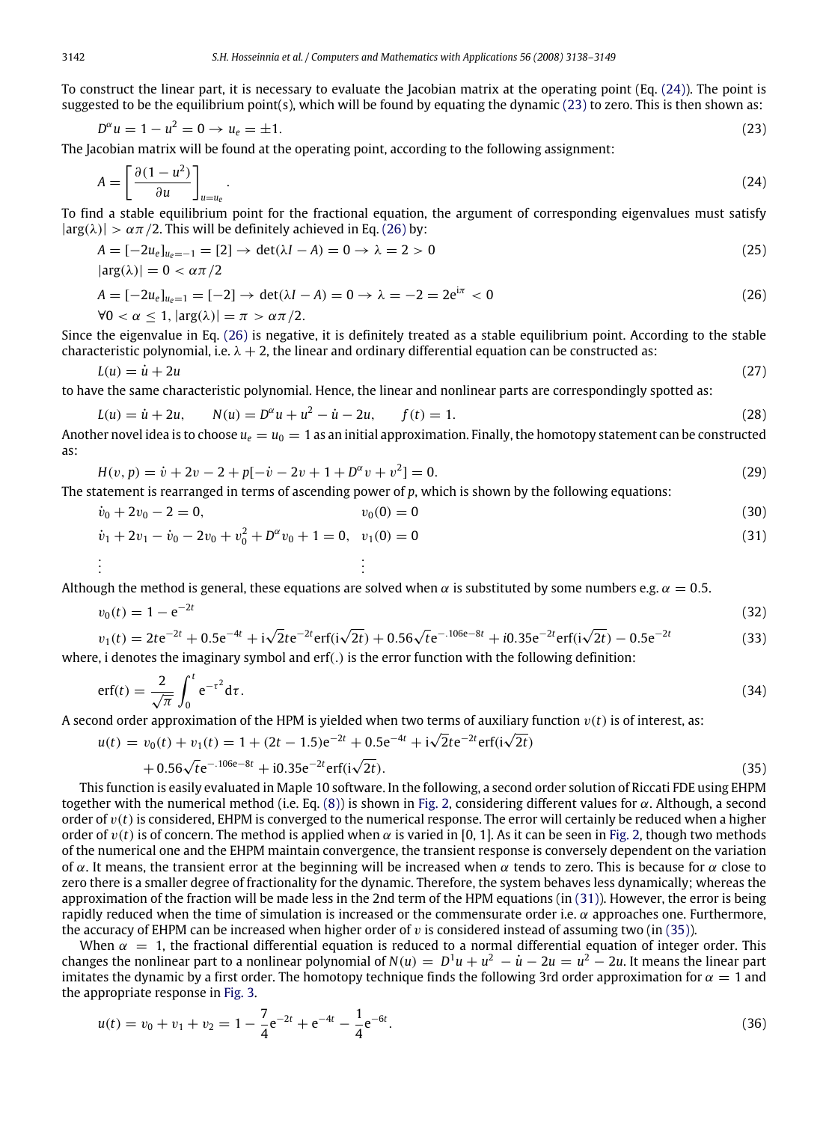To construct the linear part, it is necessary to evaluate the Jacobian matrix at the operating point (Eq. [\(24\)\)](#page-4-0). The point is suggested to be the equilibrium point(s), which will be found by equating the dynamic [\(23\)](#page-4-1) to zero. This is then shown as:

<span id="page-4-1"></span>
$$
D^{\alpha}u = 1 - u^2 = 0 \to u_e = \pm 1. \tag{23}
$$

The Jacobian matrix will be found at the operating point, according to the following assignment:

<span id="page-4-0"></span>
$$
A = \left[\frac{\partial (1 - u^2)}{\partial u}\right]_{u = u_e}.\tag{24}
$$

To find a stable equilibrium point for the fractional equation, the argument of corresponding eigenvalues must satisfy  $|\arg(\lambda)| > \alpha \pi/2$ . This will be definitely achieved in Eq. [\(26\)](#page-4-2) by:

$$
A = [-2u_e]_{u_e=-1} = [2] \rightarrow \det(\lambda I - A) = 0 \rightarrow \lambda = 2 > 0
$$
  
\n
$$
|\arg(\lambda)| = 0 < \alpha \pi/2
$$
  
\n
$$
A = [-2u_e]_{u_e=1} = [-2] \rightarrow \det(\lambda I - A) = 0 \rightarrow \lambda = -2 = 2e^{i\pi} < 0
$$
\n(26)

<span id="page-4-2"></span>
$$
\forall 0 < \alpha \leq 1, |\arg(\lambda)| = \pi > \alpha \pi/2.
$$

Since the eigenvalue in Eq. [\(26\)](#page-4-2) is negative, it is definitely treated as a stable equilibrium point. According to the stable characteristic polynomial, i.e.  $\lambda + 2$ , the linear and ordinary differential equation can be constructed as:

$$
L(u) = \dot{u} + 2u \tag{27}
$$

to have the same characteristic polynomial. Hence, the linear and nonlinear parts are correspondingly spotted as:

$$
L(u) = \dot{u} + 2u, \qquad N(u) = D^{\alpha}u + u^{2} - \dot{u} - 2u, \qquad f(t) = 1.
$$
 (28)

Another novel idea is to choose  $u_e = u_0 = 1$  as an initial approximation. Finally, the homotopy statement can be constructed as:

$$
H(v, p) = \dot{v} + 2v - 2 + p[-\dot{v} - 2v + 1 + D^{\alpha}v + v^2] = 0.
$$
\n(29)

The statement is rearranged in terms of ascending power of *p*, which is shown by the following equations:

$$
\dot{v}_0 + 2v_0 - 2 = 0, \qquad v_0(0) = 0 \tag{30}
$$

<span id="page-4-3"></span>
$$
\dot{v}_1 + 2v_1 - \dot{v}_0 - 2v_0 + v_0^2 + D^{\alpha}v_0 + 1 = 0, \quad v_1(0) = 0
$$
\n
$$
\vdots
$$
\n(31)

Although the method is general, these equations are solved when  $\alpha$  is substituted by some numbers e.g.  $\alpha = 0.5$ .

$$
v_0(t) = 1 - e^{-2t} \tag{32}
$$

$$
v_1(t) = 2te^{-2t} + 0.5e^{-4t} + i\sqrt{2}te^{-2t} \text{erf}(i\sqrt{2t}) + 0.56\sqrt{t}e^{-.106e-8t} + i0.35e^{-2t} \text{erf}(i\sqrt{2t}) - 0.5e^{-2t}
$$
 (33)  
where, i denotes the imaginary symbol and erf(.) is the error function with the following definition:

$$
\operatorname{erf}(t) = \frac{2}{\sqrt{\pi}} \int_0^t e^{-\tau^2} d\tau. \tag{34}
$$

A second order approximation of the HPM is yielded when two terms of auxiliary function  $v(t)$  is of interest, as:

<span id="page-4-4"></span>
$$
u(t) = v_0(t) + v_1(t) = 1 + (2t - 1.5)e^{-2t} + 0.5e^{-4t} + i\sqrt{2}te^{-2t} \operatorname{erf}(i\sqrt{2t}) + 0.56\sqrt{t}e^{-.106e-8t} + i0.35e^{-2t} \operatorname{erf}(i\sqrt{2t}).
$$
\n(35)

This function is easily evaluated in Maple 10 software. In the following, a second order solution of Riccati FDE using EHPM together with the numerical method (i.e. Eq. [\(8\)\)](#page-2-3) is shown in [Fig. 2,](#page-5-0) considering different values for  $\alpha$ . Although, a second order of  $v(t)$  is considered, EHPM is converged to the numerical response. The error will certainly be reduced when a higher order of  $v(t)$  is of concern. The method is applied when  $\alpha$  is varied in [0, 1]. As it can be seen in [Fig. 2,](#page-5-0) though two methods of the numerical one and the EHPM maintain convergence, the transient response is conversely dependent on the variation of α. It means, the transient error at the beginning will be increased when α tends to zero. This is because for α close to zero there is a smaller degree of fractionality for the dynamic. Therefore, the system behaves less dynamically; whereas the approximation of the fraction will be made less in the 2nd term of the HPM equations (in [\(31\)\)](#page-4-3). However, the error is being rapidly reduced when the time of simulation is increased or the commensurate order i.e.  $\alpha$  approaches one. Furthermore, the accuracy of EHPM can be increased when higher order of  $v$  is considered instead of assuming two (in [\(35\)\)](#page-4-4).

When  $\alpha = 1$ , the fractional differential equation is reduced to a normal differential equation of integer order. This changes the nonlinear part to a nonlinear polynomial of  $N(u) = D^1u + u^2 - u - 2u = u^2 - 2u$ . It means the linear part imitates the dynamic by a first order. The homotopy technique finds the following 3rd order approximation for  $\alpha = 1$  and the appropriate response in [Fig. 3.](#page-6-0)

$$
u(t) = v_0 + v_1 + v_2 = 1 - \frac{7}{4}e^{-2t} + e^{-4t} - \frac{1}{4}e^{-6t}.
$$
\n(36)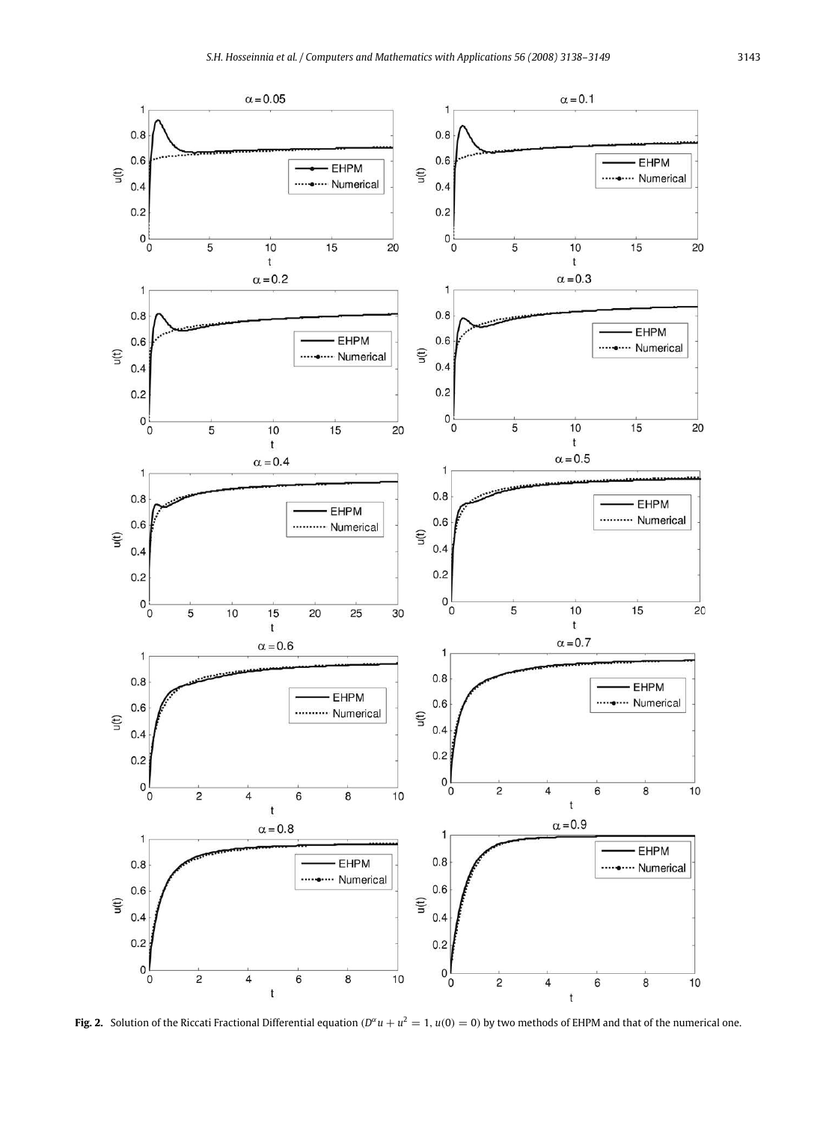<span id="page-5-0"></span>

**Fig. 2.** Solution of the Riccati Fractional Differential equation  $(D^{\alpha}u + u^2 = 1, u(0) = 0)$  by two methods of EHPM and that of the numerical one.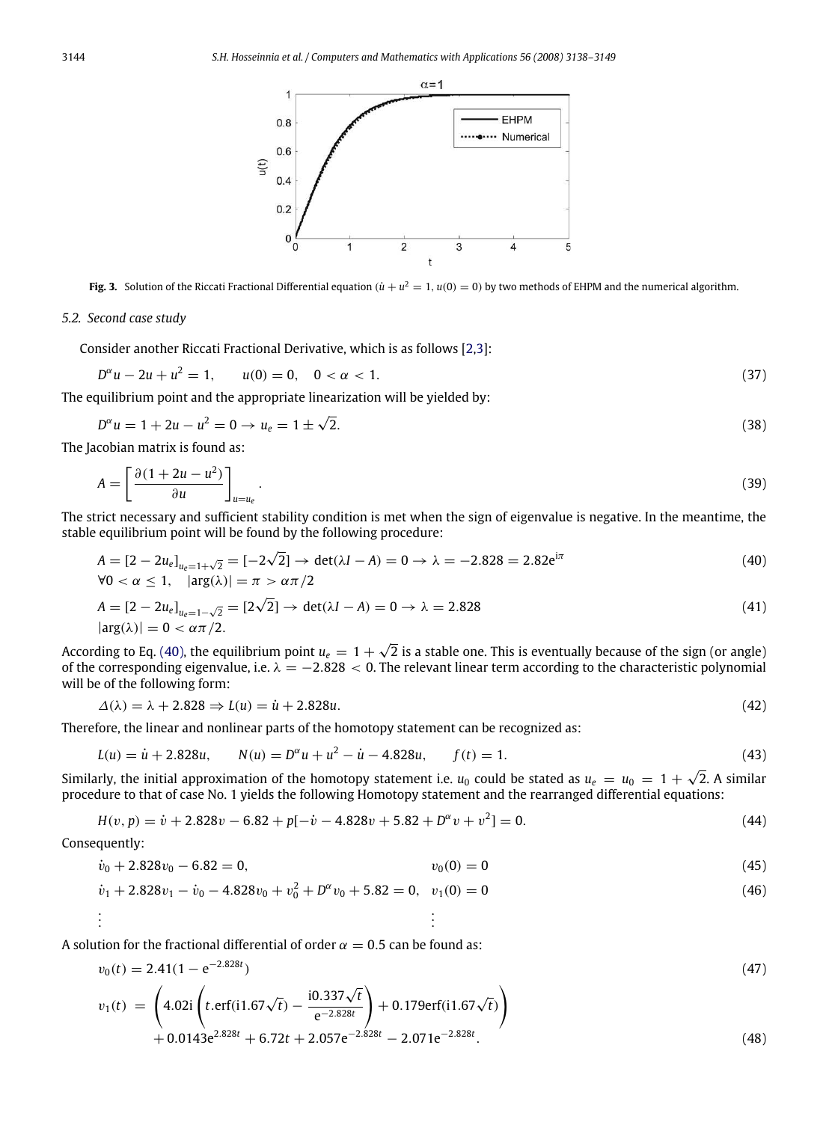<span id="page-6-0"></span>

<span id="page-6-2"></span>**Fig. 3.** Solution of the Riccati Fractional Differential equation  $(\dot{u} + u^2 = 1, u(0) = 0)$  by two methods of EHPM and the numerical algorithm.

## *5.2. Second case study*

Consider another Riccati Fractional Derivative, which is as follows [\[2](#page-10-1)[,3\]](#page-10-2):

$$
D^{\alpha}u - 2u + u^2 = 1, \qquad u(0) = 0, \quad 0 < \alpha < 1. \tag{37}
$$

The equilibrium point and the appropriate linearization will be yielded by:

$$
D^{\alpha}u = 1 + 2u - u^2 = 0 \to u_e = 1 \pm \sqrt{2}.
$$
\n(38)

The Jacobian matrix is found as:

$$
A = \left[\frac{\partial (1 + 2u - u^2)}{\partial u}\right]_{u = u_e}.\tag{39}
$$

The strict necessary and sufficient stability condition is met when the sign of eigenvalue is negative. In the meantime, the stable equilibrium point will be found by the following procedure:

<span id="page-6-1"></span>
$$
A = [2 - 2u_e]_{u_e = 1 + \sqrt{2}} = [-2\sqrt{2}] \rightarrow \det(\lambda I - A) = 0 \rightarrow \lambda = -2.828 = 2.82e^{i\pi}
$$
  
\n
$$
\forall 0 < \alpha \le 1, \quad |\arg(\lambda)| = \pi > \alpha \pi/2
$$
\n(40)

$$
A = \left[2 - 2u_e\right]_{u_e = 1 - \sqrt{2}} = \left[2\sqrt{2}\right] \rightarrow \det(\lambda I - A) = 0 \rightarrow \lambda = 2.828
$$
\n
$$
|\arg(\lambda)| = 0 < \alpha \pi/2. \tag{41}
$$

According to Eq. [\(40\),](#page-6-1) the equilibrium point  $u_e = 1 + \sqrt{2}$  is a stable one. This is eventually because of the sign (or angle) of the corresponding eigenvalue, i.e.  $\lambda = -2.828 < 0$ . The relevant linear term according to the characteristic polynomial will be of the following form:

$$
\Delta(\lambda) = \lambda + 2.828 \Rightarrow L(u) = \dot{u} + 2.828u. \tag{42}
$$

Therefore, the linear and nonlinear parts of the homotopy statement can be recognized as:

$$
L(u) = \dot{u} + 2.828u, \qquad N(u) = D^{\alpha}u + u^{2} - \dot{u} - 4.828u, \qquad f(t) = 1.
$$
\n(43)

Similarly, the initial approximation of the homotopy statement i.e.  $u_0$  could be stated as  $u_e = u_0 = 1 + \sqrt{2}$ . A similar procedure to that of case No. 1 yields the following Homotopy statement and the rearranged differential equations:

$$
H(v, p) = \dot{v} + 2.828v - 6.82 + p[-\dot{v} - 4.828v + 5.82 + D^{\alpha}v + v^2] = 0.
$$
\n(44)

Consequently:

.

$$
\dot{v}_0 + 2.828v_0 - 6.82 = 0,\qquad v_0(0) = 0\tag{45}
$$

$$
\dot{v}_1 + 2.828v_1 - \dot{v}_0 - 4.828v_0 + v_0^2 + D^{\alpha}v_0 + 5.82 = 0, \quad v_1(0) = 0
$$
\n
$$
\vdots
$$
\n(46)

A solution for the fractional differential of order  $\alpha = 0.5$  can be found as:

$$
v_0(t) = 2.41(1 - e^{-2.828t})
$$
  
\n
$$
v_1(t) = \left(4.02i \left(t.\text{erf}(i1.67\sqrt{t}) - \frac{i0.337\sqrt{t}}{e^{-2.828t}}\right) + 0.179\text{erf}(i1.67\sqrt{t})\right)
$$
\n(47)

$$
\begin{array}{c}\n \backslash \\
+0.0143e^{2.828t} + 6.72t + 2.057e^{-2.828t} - 2.071e^{-2.828t}.\n \end{array}
$$
\n(48)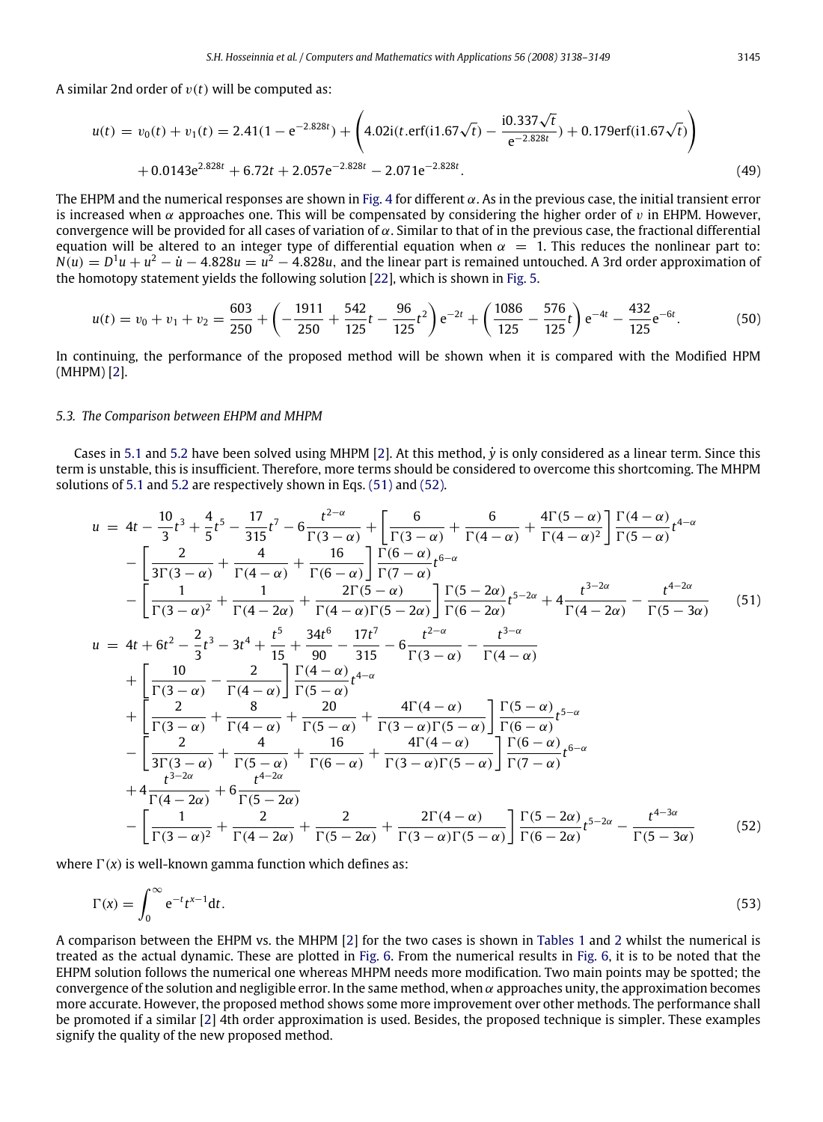A similar 2nd order of  $v(t)$  will be computed as:

$$
u(t) = v_0(t) + v_1(t) = 2.41(1 - e^{-2.828t}) + \left(4.02i(t \cdot \text{erf}(i1.67\sqrt{t})) - \frac{i0.337\sqrt{t}}{e^{-2.828t}}\right) + 0.179\text{erf}(i1.67\sqrt{t}) + 0.0143e^{2.828t} + 6.72t + 2.057e^{-2.828t} - 2.071e^{-2.828t}.
$$
\n
$$
(49)
$$

The EHPM and the numerical responses are shown in [Fig. 4](#page-8-0) for different  $\alpha$ . As in the previous case, the initial transient error is increased when  $\alpha$  approaches one. This will be compensated by considering the higher order of v in EHPM. However, convergence will be provided for all cases of variation of  $\alpha$ . Similar to that of in the previous case, the fractional differential equation will be altered to an integer type of differential equation when  $\alpha = 1$ . This reduces the nonlinear part to:  $N(u) = D<sup>1</sup>u + u<sup>2</sup> - u - 4.828u = u<sup>2</sup> - 4.828u$ , and the linear part is remained untouched. A 3rd order approximation of the homotopy statement yields the following solution [\[22\]](#page-11-10), which is shown in [Fig. 5.](#page-9-1)

$$
u(t) = v_0 + v_1 + v_2 = \frac{603}{250} + \left( -\frac{1911}{250} + \frac{542}{125}t - \frac{96}{125}t^2 \right) e^{-2t} + \left( \frac{1086}{125} - \frac{576}{125}t \right) e^{-4t} - \frac{432}{125}e^{-6t}.
$$
 (50)

In continuing, the performance of the proposed method will be shown when it is compared with the Modified HPM (MHPM) [\[2\]](#page-10-1).

#### *5.3. The Comparison between EHPM and MHPM*

Cases in [5.1](#page-3-4) and [5.2](#page-6-2) have been solved using MHPM [\[2\]](#page-10-1). At this method, *<sup>y</sup>*˙ is only considered as a linear term. Since this term is unstable, this is insufficient. Therefore, more terms should be considered to overcome this shortcoming. The MHPM solutions of [5.1](#page-3-4) and [5.2](#page-6-2) are respectively shown in Eqs. [\(51\)](#page-7-0) and [\(52\).](#page-7-1)

<span id="page-7-1"></span><span id="page-7-0"></span>
$$
u = 4t - \frac{10}{3}t^3 + \frac{4}{5}t^5 - \frac{17}{315}t^7 - 6\frac{t^{2-\alpha}}{\Gamma(3-\alpha)} + \left[\frac{6}{\Gamma(3-\alpha)} + \frac{6}{\Gamma(4-\alpha)} + \frac{4\Gamma(5-\alpha)}{\Gamma(4-\alpha)^2}\right]\frac{\Gamma(4-\alpha)}{\Gamma(5-\alpha)}t^{4-\alpha} -\left[\frac{2}{3\Gamma(3-\alpha)} + \frac{4}{\Gamma(4-\alpha)} + \frac{16}{\Gamma(6-\alpha)}\right]\frac{\Gamma(6-\alpha)}{\Gamma(7-\alpha)}t^{6-\alpha} -\left[\frac{1}{\Gamma(3-\alpha)^2} + \frac{1}{\Gamma(4-2\alpha)} + \frac{2\Gamma(5-\alpha)}{\Gamma(4-\alpha)\Gamma(5-2\alpha)}\right]\frac{\Gamma(5-2\alpha)}{\Gamma(6-2\alpha)}t^{5-2\alpha} + 4\frac{t^{3-2\alpha}}{\Gamma(4-2\alpha)} - \frac{t^{4-2\alpha}}{\Gamma(5-3\alpha)} \qquad (51)
$$
  

$$
u = 4t + 6t^2 - \frac{2}{3}t^3 - 3t^4 + \frac{t^5}{15} + \frac{34t^6}{90} - \frac{17t^7}{315} - 6\frac{t^{2-\alpha}}{\Gamma(3-\alpha)} - \frac{t^{3-\alpha}}{\Gamma(4-\alpha)} +\left[\frac{10}{\Gamma(3-\alpha)} - \frac{2}{\Gamma(4-\alpha)}\right]\frac{\Gamma(4-\alpha)}{\Gamma(5-\alpha)}t^{4-\alpha} +\left[\frac{2}{\Gamma(3-\alpha)} + \frac{8}{\Gamma(4-\alpha)} + \frac{20}{\Gamma(5-\alpha)}t^{4-\alpha} -\left[\frac{2}{3\Gamma(3-\alpha)} + \frac{4}{\Gamma(4-\alpha)} + \frac{16}{\Gamma(5-\alpha)} + \frac{4\Gamma(4-\alpha)}{\Gamma(3-\alpha)\Gamma(5-\alpha)}\right]\frac{\Gamma(5-\alpha)}{\Gamma(6-\alpha)}t^{6-\alpha} +\frac{t^{3-2\alpha}}{\Gamma(4-2\alpha)} + 6\frac{t^{4-2\alpha}}{t^{4-2\alpha}} +\frac{t^{3-2\alpha}}{\Gamma(4-2\alpha)} + 6\frac{t^{4-2\alpha}}{t^{4-2\alpha}} -\left[\frac{1}{\Gamma(
$$

where  $\Gamma(x)$  is well-known gamma function which defines as:

$$
\Gamma(x) = \int_0^\infty e^{-t} t^{x-1} dt.
$$
\n(53)

A comparison between the EHPM vs. the MHPM [\[2\]](#page-10-1) for the two cases is shown in [Tables 1](#page-10-5) and [2](#page-10-6) whilst the numerical is treated as the actual dynamic. These are plotted in [Fig. 6.](#page-9-2) From the numerical results in [Fig. 6,](#page-9-2) it is to be noted that the EHPM solution follows the numerical one whereas MHPM needs more modification. Two main points may be spotted; the convergence of the solution and negligible error. In the same method, when  $\alpha$  approaches unity, the approximation becomes more accurate. However, the proposed method shows some more improvement over other methods. The performance shall be promoted if a similar [\[2\]](#page-10-1) 4th order approximation is used. Besides, the proposed technique is simpler. These examples signify the quality of the new proposed method.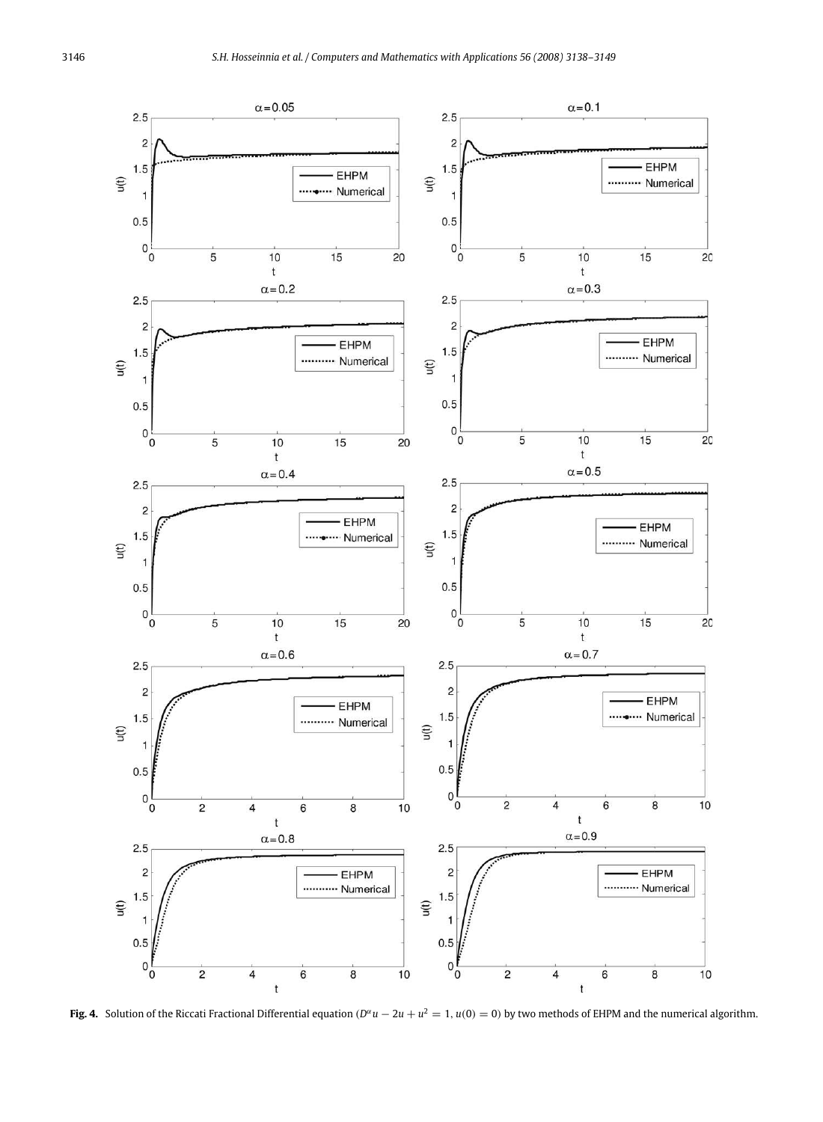<span id="page-8-0"></span>

**Fig. 4.** Solution of the Riccati Fractional Differential equation  $(D^{\alpha}u - 2u + u^2 = 1, u(0) = 0)$  by two methods of EHPM and the numerical algorithm.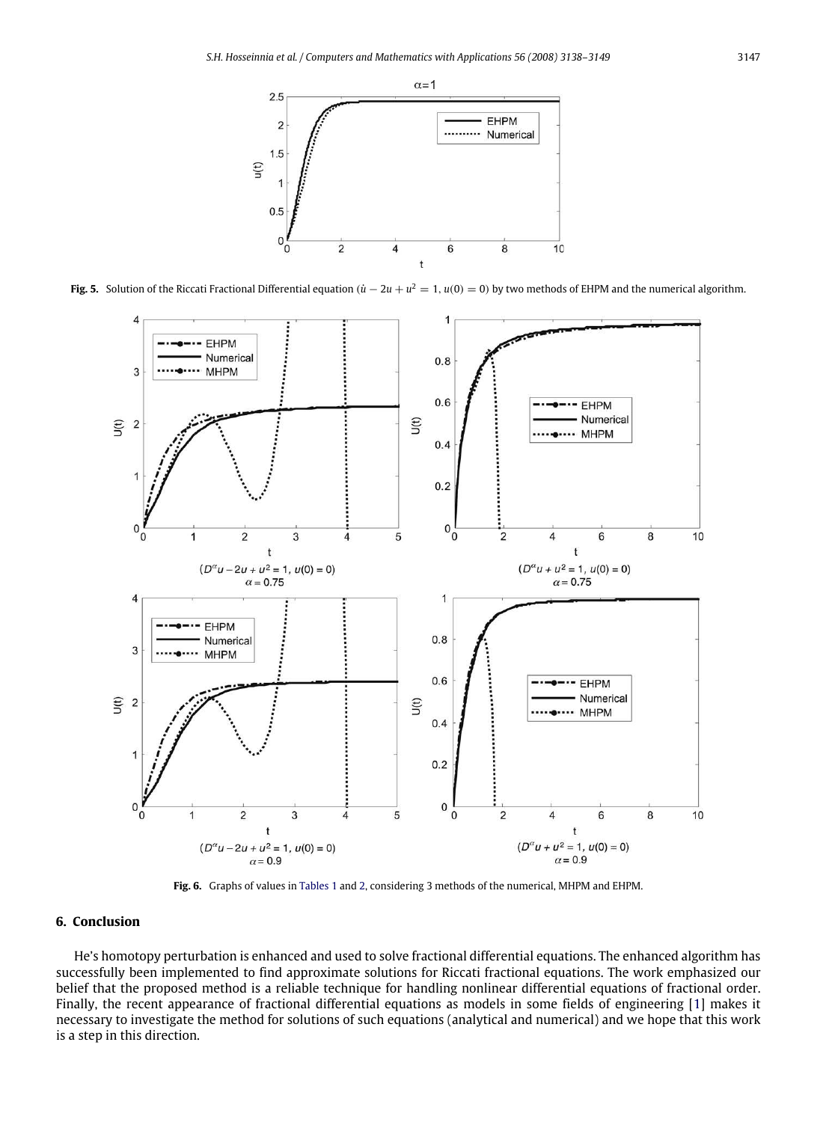<span id="page-9-1"></span>

<span id="page-9-2"></span>**Fig. 5.** Solution of the Riccati Fractional Differential equation  $(\dot{u} - 2u + u^2 = 1, u(0) = 0)$  by two methods of EHPM and the numerical algorithm.



**Fig. 6.** Graphs of values in [Tables 1](#page-10-5) and [2,](#page-10-6) considering 3 methods of the numerical, MHPM and EHPM.

## <span id="page-9-0"></span>**6. Conclusion**

He's homotopy perturbation is enhanced and used to solve fractional differential equations. The enhanced algorithm has successfully been implemented to find approximate solutions for Riccati fractional equations. The work emphasized our belief that the proposed method is a reliable technique for handling nonlinear differential equations of fractional order. Finally, the recent appearance of fractional differential equations as models in some fields of engineering [\[1\]](#page-10-0) makes it necessary to investigate the method for solutions of such equations (analytical and numerical) and we hope that this work is a step in this direction.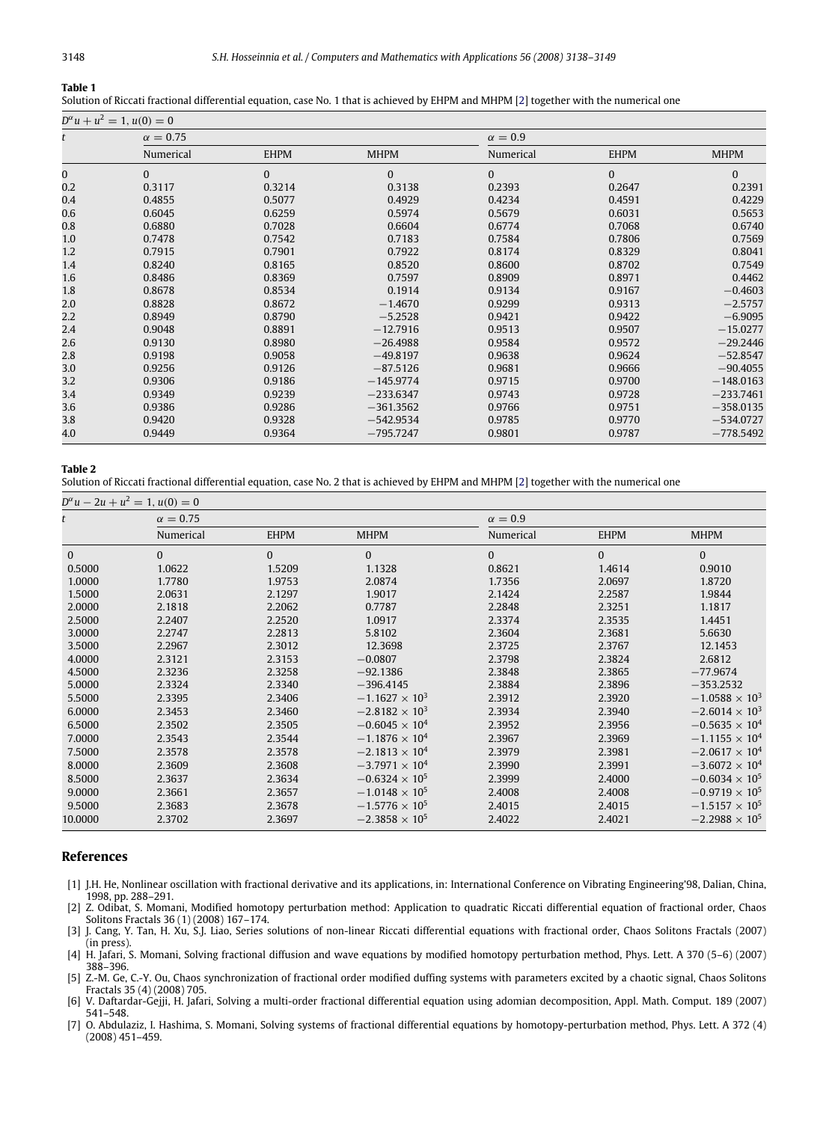#### <span id="page-10-5"></span>**Table 1**

Solution of Riccati fractional differential equation, case No. 1 that is achieved by EHPM and MHPM [\[2\]](#page-10-1) together with the numerical one

| $D^{\alpha}u + u^2 = 1, u(0) = 0$ |                 |             |             |              |              |             |  |  |  |
|-----------------------------------|-----------------|-------------|-------------|--------------|--------------|-------------|--|--|--|
|                                   | $\alpha = 0.75$ |             |             | $\alpha=0.9$ |              |             |  |  |  |
|                                   | Numerical       | <b>EHPM</b> | <b>MHPM</b> | Numerical    | <b>EHPM</b>  | <b>MHPM</b> |  |  |  |
| 0                                 | $\Omega$        | $\Omega$    | $\Omega$    | $\Omega$     | $\mathbf{0}$ | $\Omega$    |  |  |  |
| 0.2                               | 0.3117          | 0.3214      | 0.3138      | 0.2393       | 0.2647       | 0.2391      |  |  |  |
| 0.4                               | 0.4855          | 0.5077      | 0.4929      | 0.4234       | 0.4591       | 0.4229      |  |  |  |
| 0.6                               | 0.6045          | 0.6259      | 0.5974      | 0.5679       | 0.6031       | 0.5653      |  |  |  |
| 0.8                               | 0.6880          | 0.7028      | 0.6604      | 0.6774       | 0.7068       | 0.6740      |  |  |  |
| 1.0                               | 0.7478          | 0.7542      | 0.7183      | 0.7584       | 0.7806       | 0.7569      |  |  |  |
| 1.2                               | 0.7915          | 0.7901      | 0.7922      | 0.8174       | 0.8329       | 0.8041      |  |  |  |
| 1.4                               | 0.8240          | 0.8165      | 0.8520      | 0.8600       | 0.8702       | 0.7549      |  |  |  |
| 1.6                               | 0.8486          | 0.8369      | 0.7597      | 0.8909       | 0.8971       | 0.4462      |  |  |  |
| 1.8                               | 0.8678          | 0.8534      | 0.1914      | 0.9134       | 0.9167       | $-0.4603$   |  |  |  |
| 2.0                               | 0.8828          | 0.8672      | $-1.4670$   | 0.9299       | 0.9313       | $-2.5757$   |  |  |  |
| $2.2\,$                           | 0.8949          | 0.8790      | $-5.2528$   | 0.9421       | 0.9422       | $-6.9095$   |  |  |  |
| 2.4                               | 0.9048          | 0.8891      | $-12.7916$  | 0.9513       | 0.9507       | $-15.0277$  |  |  |  |
| 2.6                               | 0.9130          | 0.8980      | $-26.4988$  | 0.9584       | 0.9572       | $-29.2446$  |  |  |  |
| 2.8                               | 0.9198          | 0.9058      | $-49.8197$  | 0.9638       | 0.9624       | $-52.8547$  |  |  |  |
| 3.0                               | 0.9256          | 0.9126      | $-87.5126$  | 0.9681       | 0.9666       | $-90,4055$  |  |  |  |
| 3.2                               | 0.9306          | 0.9186      | $-145.9774$ | 0.9715       | 0.9700       | $-148,0163$ |  |  |  |
| 3.4                               | 0.9349          | 0.9239      | $-233.6347$ | 0.9743       | 0.9728       | $-233.7461$ |  |  |  |
| 3.6                               | 0.9386          | 0.9286      | $-361.3562$ | 0.9766       | 0.9751       | $-358.0135$ |  |  |  |
| 3.8                               | 0.9420          | 0.9328      | $-542.9534$ | 0.9785       | 0.9770       | $-534.0727$ |  |  |  |
| 4.0                               | 0.9449          | 0.9364      | $-795.7247$ | 0.9801       | 0.9787       | $-778.5492$ |  |  |  |

#### <span id="page-10-6"></span>**Table 2**

Solution of Riccati fractional differential equation, case No. 2 that is achieved by EHPM and MHPM [\[2\]](#page-10-1) together with the numerical one

|              | $D^{\alpha}u - 2u + u^2 = 1, u(0) = 0$ |             |                         |              |             |                         |  |
|--------------|----------------------------------------|-------------|-------------------------|--------------|-------------|-------------------------|--|
|              | $\alpha = 0.75$                        |             |                         | $\alpha=0.9$ |             |                         |  |
|              | Numerical                              | <b>EHPM</b> | <b>MHPM</b>             | Numerical    | <b>EHPM</b> | <b>MHPM</b>             |  |
| $\mathbf{0}$ | $\mathbf{0}$                           | $\Omega$    | $\mathbf{0}$            | $\Omega$     | $\Omega$    | $\Omega$                |  |
| 0.5000       | 1.0622                                 | 1.5209      | 1.1328                  | 0.8621       | 1.4614      | 0.9010                  |  |
| 1.0000       | 1.7780                                 | 1.9753      | 2.0874                  | 1.7356       | 2.0697      | 1.8720                  |  |
| 1.5000       | 2.0631                                 | 2.1297      | 1.9017                  | 2.1424       | 2.2587      | 1.9844                  |  |
| 2.0000       | 2.1818                                 | 2.2062      | 0.7787                  | 2.2848       | 2.3251      | 1.1817                  |  |
| 2.5000       | 2.2407                                 | 2.2520      | 1.0917                  | 2.3374       | 2.3535      | 1.4451                  |  |
| 3.0000       | 2.2747                                 | 2.2813      | 5.8102                  | 2.3604       | 2.3681      | 5.6630                  |  |
| 3.5000       | 2.2967                                 | 2.3012      | 12.3698                 | 2.3725       | 2.3767      | 12.1453                 |  |
| 4.0000       | 2.3121                                 | 2.3153      | $-0.0807$               | 2.3798       | 2.3824      | 2.6812                  |  |
| 4.5000       | 2.3236                                 | 2.3258      | $-92.1386$              | 2.3848       | 2.3865      | $-77.9674$              |  |
| 5.0000       | 2.3324                                 | 2.3340      | $-396.4145$             | 2.3884       | 2.3896      | $-353.2532$             |  |
| 5.5000       | 2.3395                                 | 2.3406      | $-1.1627 \times 10^{3}$ | 2.3912       | 2.3920      | $-1.0588 \times 10^{3}$ |  |
| 6.0000       | 2.3453                                 | 2.3460      | $-2.8182 \times 10^{3}$ | 2.3934       | 2.3940      | $-2.6014 \times 10^{3}$ |  |
| 6.5000       | 2.3502                                 | 2.3505      | $-0.6045 \times 10^{4}$ | 2.3952       | 2.3956      | $-0.5635 \times 10^{4}$ |  |
| 7.0000       | 2.3543                                 | 2.3544      | $-1.1876 \times 10^{4}$ | 2.3967       | 2.3969      | $-1.1155 \times 10^{4}$ |  |
| 7.5000       | 2.3578                                 | 2.3578      | $-2.1813 \times 10^{4}$ | 2.3979       | 2.3981      | $-2.0617 \times 10^{4}$ |  |
| 8.0000       | 2.3609                                 | 2.3608      | $-37971 \times 10^{4}$  | 2.3990       | 2.3991      | $-3.6072 \times 10^{4}$ |  |
| 8.5000       | 2.3637                                 | 2.3634      | $-0.6324 \times 10^{5}$ | 2.3999       | 2.4000      | $-0.6034 \times 10^{5}$ |  |
| 9.0000       | 2.3661                                 | 2.3657      | $-1.0148 \times 10^{5}$ | 2.4008       | 2.4008      | $-0.9719 \times 10^{5}$ |  |
| 9.5000       | 2.3683                                 | 2.3678      | $-1.5776 \times 10^{5}$ | 2.4015       | 2.4015      | $-1.5157 \times 10^{5}$ |  |
| 10.0000      | 2.3702                                 | 2.3697      | $-2.3858 \times 10^{5}$ | 2.4022       | 2.4021      | $-2.2988 \times 10^{5}$ |  |

## **References**

- <span id="page-10-0"></span>[1] J.H. He, Nonlinear oscillation with fractional derivative and its applications, in: International Conference on Vibrating Engineering'98, Dalian, China, 1998, pp. 288–291.
- <span id="page-10-1"></span>[2] Z. Odibat, S. Momani, Modified homotopy perturbation method: Application to quadratic Riccati differential equation of fractional order, Chaos Solitons Fractals 36 (1) (2008) 167–174.
- <span id="page-10-2"></span>[3] J. Cang, Y. Tan, H. Xu, S.J. Liao, Series solutions of non-linear Riccati differential equations with fractional order, Chaos Solitons Fractals (2007) (in press).
- <span id="page-10-3"></span>[4] H. Jafari, S. Momani, Solving fractional diffusion and wave equations by modified homotopy perturbation method, Phys. Lett. A 370 (5–6) (2007) 388–396.

<span id="page-10-4"></span>[5] Z.-M. Ge, C.-Y. Ou, Chaos synchronization of fractional order modified duffing systems with parameters excited by a chaotic signal, Chaos Solitons Fractals 35 (4) (2008) 705.

[6] V. Daftardar-Gejji, H. Jafari, Solving a multi-order fractional differential equation using adomian decomposition, Appl. Math. Comput. 189 (2007) 541–548.

[7] O. Abdulaziz, I. Hashima, S. Momani, Solving systems of fractional differential equations by homotopy-perturbation method, Phys. Lett. A 372 (4) (2008) 451–459.